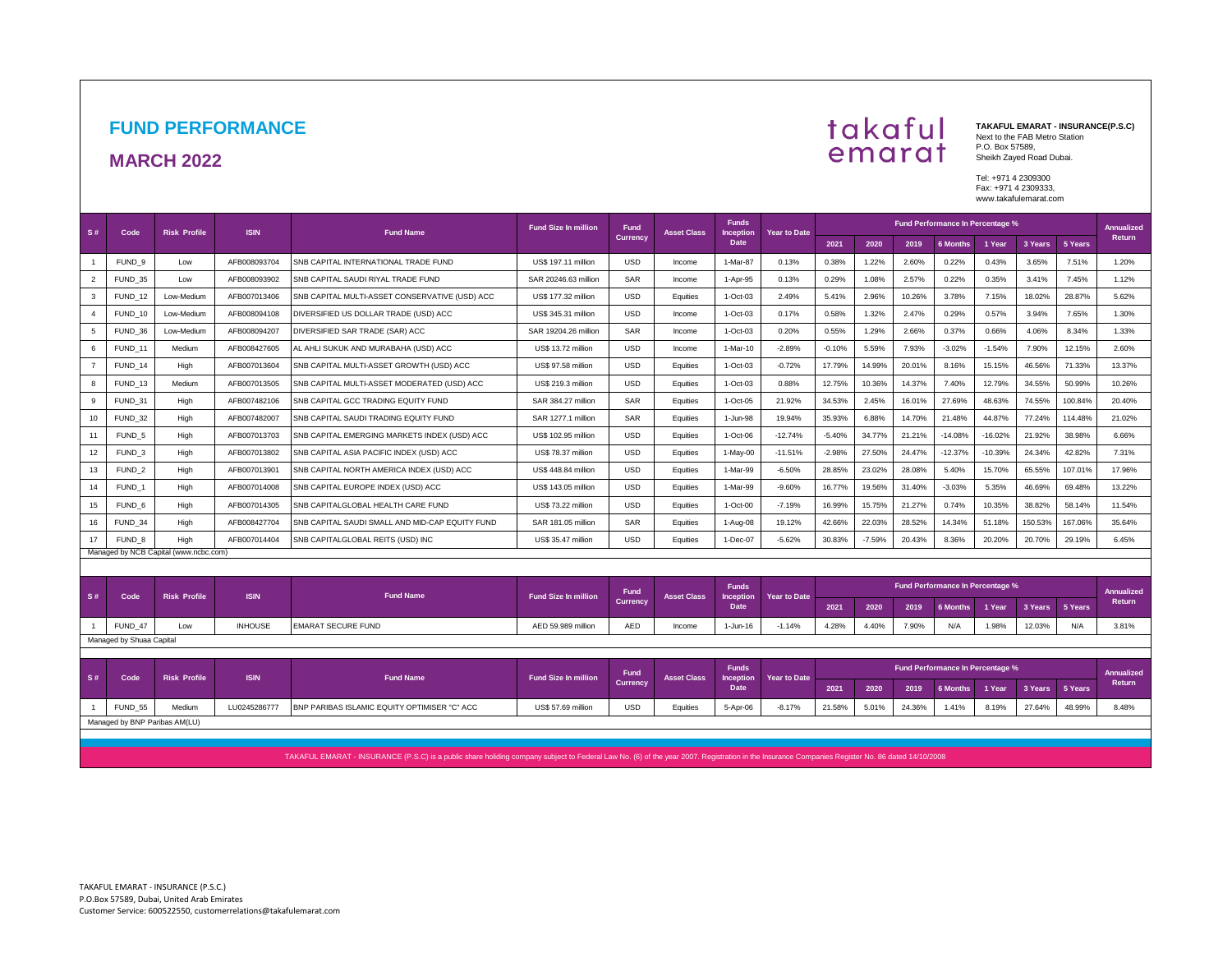## **FUND PERFORMANCE**

#### **MARCH 2022**



**TAKAFUL EMARAT - INSURANCE(P.S.C)**  Next to the FAB Metro Station P.O. Box 57589, Sheikh Zayed Road Dubai.

Tel: +971 4 2309300 Fax: +971 4 2309333, www.takafulemarat.com

| S#        | Code                     | <b>Risk Profile</b>                   | <b>ISIN</b>    | <b>Fund Name</b>                                | <b>Fund Size In million</b> | <b>Fund</b>                    | <b>Asset Class</b> | <b>Funds</b><br>Inception | <b>Year to Date</b> | <b>Fund Performance In Percentage %</b>                      |          |        |                                         |           |                             |         |                             |  |
|-----------|--------------------------|---------------------------------------|----------------|-------------------------------------------------|-----------------------------|--------------------------------|--------------------|---------------------------|---------------------|--------------------------------------------------------------|----------|--------|-----------------------------------------|-----------|-----------------------------|---------|-----------------------------|--|
|           |                          |                                       |                |                                                 |                             | <b>Currency</b>                |                    | Date                      |                     | 2021                                                         | 2020     | 2019   | 6 Months                                | 1 Year    | 3 Years                     | 5 Years | <b>Return</b>               |  |
|           | FUND <sub>9</sub>        | Low                                   | AFB008093704   | SNB CAPITAL INTERNATIONAL TRADE FUND            | US\$ 197.11 million         | <b>USD</b>                     | Income             | 1-Mar-87                  | 0.13%               | 0.38%                                                        | 1.22%    | 2.60%  | 0.22%                                   | 0.43%     | 3.65%                       | 7.51%   | 1.20%                       |  |
| 2         | FUND 35                  | Low                                   | AFB008093902   | SNB CAPITAL SAUDI RIYAL TRADE FUND              | SAR 20246.63 million        | SAR                            | Income             | 1-Apr-95                  | 0.13%               | 0.29%                                                        | 1.08%    | 2.57%  | 0.22%                                   | 0.35%     | 3.41%                       | 7.45%   | 1.12%                       |  |
| 3         | FUND <sub>12</sub>       | Low-Medium                            | AFB007013406   | SNB CAPITAL MULTI-ASSET CONSERVATIVE (USD) ACC  | US\$ 177.32 million         | <b>USD</b>                     | Equities           | 1-Oct-03                  | 2.49%               | 5.41%                                                        | 2.96%    | 10.26% | 3.78%                                   | 7.15%     | 18.02%                      | 28.87%  | 5.62%                       |  |
|           | FUND 10                  | Low-Medium                            | AFB008094108   | DIVERSIFIED US DOLLAR TRADE (USD) ACC           | US\$ 345.31 million         | <b>USD</b>                     | Income             | 1-Oct-03                  | 0.17%               | 0.58%                                                        | 1.32%    | 2.47%  | 0.29%                                   | 0.57%     | 3.94%                       | 7.65%   | 1.30%                       |  |
| 5         | FUND 36                  | Low-Medium                            | AFB008094207   | DIVERSIFIED SAR TRADE (SAR) ACC                 | SAR 19204.26 million        | SAR                            | Income             | 1-Oct-03                  | 0.20%               | 0.55%                                                        | 1.29%    | 2.66%  | 0.37%                                   | 0.66%     | 4.06%                       | 8.34%   | 1.33%                       |  |
| 6         | FUND 11                  | Medium                                | AFB008427605   | AL AHLI SUKUK AND MURABAHA (USD) ACC            | US\$ 13.72 million          | <b>USD</b>                     | Income             | 1-Mar-10                  | $-2.89%$            | $-0.10%$                                                     | 5.59%    | 7.93%  | $-3.02%$                                | $-1.54%$  | 7.90%                       | 12.15%  | 2.60%                       |  |
|           | FUND <sub>14</sub>       | High                                  | AFB007013604   | SNB CAPITAL MULTI-ASSET GROWTH (USD) ACC        | US\$ 97.58 million          | <b>USD</b>                     | Equities           | 1-Oct-03                  | $-0.72%$            | 17.79%                                                       | 14.99%   | 20.01% | 8.16%                                   | 15.15%    | 46.56%                      | 71.33%  | 13.37%                      |  |
| 8         | FUND <sub>13</sub>       | Medium                                | AFB007013505   | SNB CAPITAL MULTI-ASSET MODERATED (USD) ACC     | US\$ 219.3 million          | <b>USD</b>                     | Equities           | 1-Oct-03                  | 0.88%               | 12.75%                                                       | 10.36%   | 14.37% | 7.40%                                   | 12.79%    | 34.55%                      | 50.99%  | 10.26%                      |  |
| 9         | FUND 31                  | High                                  | AFB007482106   | SNB CAPITAL GCC TRADING EQUITY FUND             | SAR 384.27 million          | SAR                            | Equities           | 1-Oct-05                  | 21.92%              | 34.53%                                                       | 2.45%    | 16.01% | 27.69%                                  | 48.63%    | 74.55%                      | 100.84% | 20.40%                      |  |
| 10        | FUND 32                  | High                                  | AFB007482007   | SNB CAPITAL SAUDI TRADING EQUITY FUND           | SAR 1277.1 million          | SAR                            | Equities           | 1-Jun-98                  | 19.94%              | 35.93%                                                       | 6.88%    | 14.70% | 21.48%                                  | 44.87%    | 77.24%                      | 114.48% | 21.02%                      |  |
| 11        | FUND <sub>5</sub>        | High                                  | AFB007013703   | SNB CAPITAL EMERGING MARKETS INDEX (USD) ACC    | US\$ 102.95 million         | <b>USD</b>                     | Equities           | 1-Oct-06                  | $-12.74%$           | $-5.40%$                                                     | 34.77%   | 21.21% | $-14.08%$                               | $-16.02%$ | 21.92%                      | 38.98%  | 6.66%                       |  |
| 12        | FUND <sub>3</sub>        | High                                  | AFB007013802   | SNB CAPITAL ASIA PACIFIC INDEX (USD) ACC        | <b>US\$ 78.37 million</b>   | <b>USD</b>                     | Equities           | 1-May-00                  | $-11.51%$           | $-2.98%$                                                     | 27.50%   | 24.47% | $-12.37%$                               | $-10.39%$ | 24.34%                      | 42.82%  | 7.31%                       |  |
| 13        | FUND <sub>2</sub>        | High                                  | AFB007013901   | SNB CAPITAL NORTH AMERICA INDEX (USD) ACC       | <b>US\$ 448.84 million</b>  | <b>USD</b>                     | Equities           | 1-Mar-99                  | $-6.50%$            | 28.85%                                                       | 23.02%   | 28.08% | 5.40%                                   | 15.70%    | 65.55%                      | 107.01% | 17.96%                      |  |
| 14        | FUND <sub>1</sub>        | High                                  | AFB007014008   | SNB CAPITAL EUROPE INDEX (USD) ACC              | US\$ 143.05 million         | <b>USD</b>                     | Equities           | 1-Mar-99                  | $-9.60%$            | 16.77%                                                       | 19.56%   | 31.40% | $-3.03%$                                | 5.35%     | 46.69%                      | 69.48%  | 13.22%                      |  |
| 15        | FUND 6                   | High                                  | AFB007014305   | SNB CAPITALGLOBAL HEALTH CARE FUND              | US\$ 73.22 million          | <b>USD</b>                     | Equities           | 1-Oct-00                  | $-7.19%$            | 16.99%                                                       | 15.75%   | 21.27% | 0.74%                                   | 10.35%    | 38.82%                      | 58.14%  | 11.54%                      |  |
| 16        | FUND 34                  | High                                  | AFB008427704   | SNB CAPITAL SAUDI SMALL AND MID-CAP EQUITY FUND | SAR 181.05 million          | SAR                            | Equities           | 1-Aug-08                  | 19.12%              | 42.66%                                                       | 22.03%   | 28.52% | 14.34%                                  | 51.18%    | 150.53%                     | 167.06% | 35.64%                      |  |
| 17        | FUND 8                   | High                                  | AFB007014404   | SNB CAPITALGLOBAL REITS (USD) INC               | US\$ 35.47 million          | <b>USD</b>                     | Equities           | 1-Dec-07                  | $-5.62%$            | 30.83%                                                       | $-7.59%$ | 20.43% | 8.36%                                   | 20.20%    | 20.70%                      | 29.19%  | 6.45%                       |  |
|           |                          | Managed by NCB Capital (www.ncbc.com) |                |                                                 |                             |                                |                    |                           |                     |                                                              |          |        |                                         |           |                             |         |                             |  |
|           |                          |                                       |                |                                                 |                             |                                |                    |                           |                     |                                                              |          |        |                                         |           |                             |         |                             |  |
| <b>S#</b> | Code                     | <b>Risk Profile</b>                   | <b>ISIN</b>    | <b>Fund Name</b>                                | <b>Fund Size In million</b> | Fund<br><b>Currency</b>        | <b>Asset Class</b> | <b>Funds</b><br>Inception | <b>Year to Date</b> |                                                              |          |        | <b>Fund Performance In Percentage %</b> |           |                             |         | <b>Annualized</b><br>Return |  |
|           |                          |                                       |                |                                                 |                             |                                |                    | <b>Date</b>               |                     | 2021                                                         | 2020     | 2019   | 6 Months                                | 1 Year    | 3 Years                     | 5 Years |                             |  |
|           | FUND_47                  | Low                                   | <b>INHOUSE</b> | <b>EMARAT SECURE FUND</b>                       | AED 59.989 million          | <b>AED</b>                     | Income             | 1-Jun-16                  | $-1.14%$            | 4.28%                                                        | 4.40%    | 7.90%  | N/A                                     | 1.98%     | 12.03%                      | N/A     | 3.81%                       |  |
|           | Managed by Shuaa Capital |                                       |                |                                                 |                             |                                |                    |                           |                     |                                                              |          |        |                                         |           |                             |         |                             |  |
|           |                          |                                       |                |                                                 |                             |                                |                    | <b>Funds</b>              |                     |                                                              |          |        | <b>Fund Performance In Percentage %</b> |           |                             |         |                             |  |
| <b>S#</b> | Code                     | <b>Risk Profile</b>                   | <b>ISIN</b>    | <b>Fund Name</b>                                | <b>Fund Size In million</b> | <b>Fund</b><br><b>Currency</b> | <b>Asset Class</b> | Inception<br>Date         | <b>Year to Date</b> | 3 Years<br>2021<br>2020<br>2019<br><b>6 Months</b><br>1 Year |          |        |                                         | 5 Years   | <b>Annualized</b><br>Return |         |                             |  |
|           | FUND_55                  | Medium                                | LU0245286777   | BNP PARIBAS ISLAMIC EQUITY OPTIMISER "C" ACC    | <b>US\$ 57.69 million</b>   | <b>USD</b>                     | Equities           | 5-Apr-06                  | $-8.17%$            | 21.58%                                                       | 5.01%    | 24.36% | 1.41%                                   | 8.19%     | 27.64%                      | 48.99%  | 8.48%                       |  |
|           |                          | Monogod by DND Doribon AM(LLI)        |                |                                                 |                             |                                |                    |                           |                     |                                                              |          |        |                                         |           |                             |         |                             |  |

ed by BNP Paribas AM(LU)

TAKAFUL EMARAT - INSURANCE (P.S.C) is a public share holiding company subject to Federal Law No. (6) of the year 2007. Registration in the Insurance Companies Register No. 86 dated 14/10/2008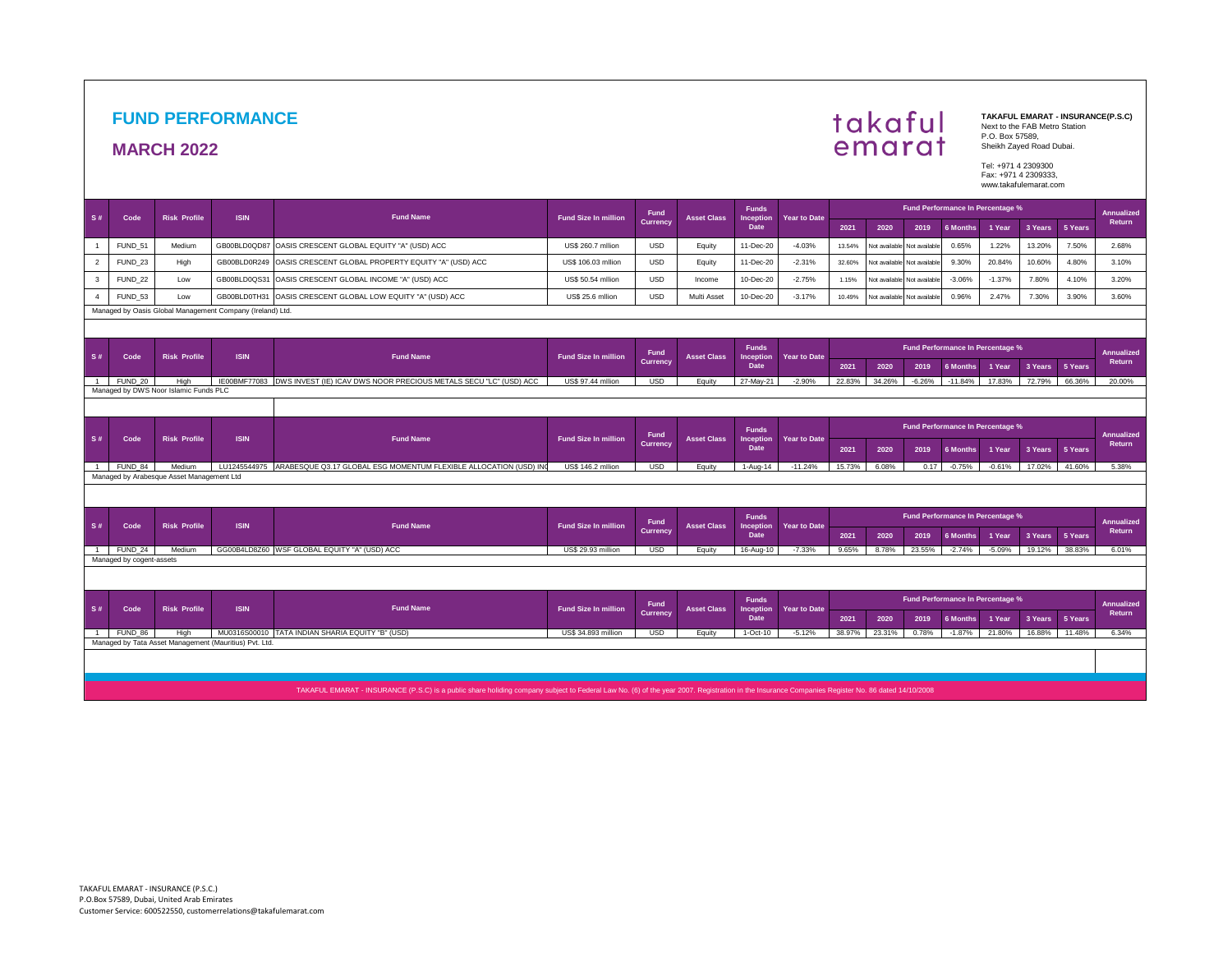## **FUND PERFORMANCE**

#### **MARCH 2022**

# takaful<br>emarat

**TAKAFUL EMARAT - INSURANCE(P.S.C)**  Next to the FAB Metro Station P.O. Box 57589, Sheikh Zayed Road Dubai.

Tel: +971 4 2309300 Fax: +971 4 2309333, www.takafulemarat.com

|                |                          |                                           |                                                           |                                                                                                                                                                                                 |                             | Fund                    |                    | <b>Funds</b>                      |                                  |                                                       |               |                             | Fund Performance In Percentage % |          |         |         | <b>Annualized</b>           |
|----------------|--------------------------|-------------------------------------------|-----------------------------------------------------------|-------------------------------------------------------------------------------------------------------------------------------------------------------------------------------------------------|-----------------------------|-------------------------|--------------------|-----------------------------------|----------------------------------|-------------------------------------------------------|---------------|-----------------------------|----------------------------------|----------|---------|---------|-----------------------------|
| S#             | Code                     | <b>Risk Profile</b>                       | <b>ISIN</b>                                               | <b>Fund Name</b>                                                                                                                                                                                | <b>Fund Size In million</b> | <b>Currency</b>         | <b>Asset Class</b> | <b>Inception</b><br>Date          | <b>Year to Date</b>              | 2021                                                  | 2020          | 2019                        | 6 Months                         | 1 Year   | 3 Years | 5 Years | <b>Return</b>               |
|                | FUND 51                  | Medium                                    |                                                           | GB00BLD0QD87 OASIS CRESCENT GLOBAL EQUITY "A" (USD) ACC                                                                                                                                         | US\$ 260.7 milion           | <b>USD</b>              | Equity             | 11-Dec-20                         | $-4.03%$                         | 13.54%                                                | Not available | Not available               | 0.65%                            | 1.22%    | 13.20%  | 7.50%   | 2.68%                       |
| $\overline{2}$ | FUND <sub>23</sub>       | High                                      |                                                           | GB00BLD0R249 OASIS CRESCENT GLOBAL PROPERTY EQUITY "A" (USD) ACC                                                                                                                                | US\$ 106.03 milion          | <b>USD</b>              | Equity             | 11-Dec-20                         | $-2.31%$                         | 32.60%                                                | Not available | Not available               | 9.30%                            | 20.84%   | 10.60%  | 4.80%   | 3.10%                       |
| 3              | FUND <sub>22</sub>       | Low                                       | GB00BLD0QS31                                              | OASIS CRESCENT GLOBAL INCOME "A" (USD) ACC                                                                                                                                                      | <b>US\$ 50.54 milion</b>    | <b>USD</b>              | Income             | 10-Dec-20                         | $-2.75%$                         | 1.15%                                                 |               | Not available Not available | $-3.06%$                         | $-1.37%$ | 7.80%   | 4.10%   | 3.20%                       |
|                | FUND <sub>53</sub>       | Low                                       |                                                           | GB00BLD0TH31 OASIS CRESCENT GLOBAL LOW EQUITY "A" (USD) ACC                                                                                                                                     | US\$ 25.6 milion            | <b>USD</b>              | Multi Asset        | 10-Dec-20                         | $-3.17%$                         | 10.49%                                                | Not available | Not available               | 0.96%                            | 2.47%    | 7.30%   | 3.90%   | 3.60%                       |
|                |                          |                                           | Managed by Oasis Global Management Company (Ireland) Ltd. |                                                                                                                                                                                                 |                             |                         |                    |                                   |                                  |                                                       |               |                             |                                  |          |         |         |                             |
|                |                          |                                           |                                                           |                                                                                                                                                                                                 |                             |                         |                    |                                   |                                  |                                                       |               |                             |                                  |          |         |         |                             |
|                |                          |                                           |                                                           | <b>Funds</b><br>Fund                                                                                                                                                                            |                             |                         |                    |                                   | Fund Performance In Percentage % |                                                       |               |                             | Annualized                       |          |         |         |                             |
| S#             | Code                     | <b>Risk Profile</b>                       | <b>ISIN</b>                                               | <b>Fund Name</b>                                                                                                                                                                                | <b>Fund Size In million</b> | <b>Currency</b>         | <b>Asset Class</b> | <b>Inception</b><br>Date          | <b>Year to Date</b>              | 2021                                                  | 2020          | 2019                        | <b>6 Months</b>                  | 1 Year   | 3 Years | 5 Years | Return                      |
| $\sim$ 1       | FUND 20                  | High                                      |                                                           | IE00BMF77083 DWS INVEST (IE) ICAV DWS NOOR PRECIOUS METALS SECU "LC" (USD) ACC                                                                                                                  | US\$ 97.44 million          | <b>USD</b>              | Equity             | 27-May-21                         | $-2.90%$                         | 22.83%                                                | 34.26%        | $-6.26%$                    | $-11.84%$                        | 17.83%   | 72.79%  | 66.36%  | 20.00%                      |
|                |                          | Managed by DWS Noor Islamic Funds PLC     |                                                           |                                                                                                                                                                                                 |                             |                         |                    |                                   |                                  |                                                       |               |                             |                                  |          |         |         |                             |
|                |                          |                                           |                                                           |                                                                                                                                                                                                 |                             |                         |                    |                                   |                                  |                                                       |               |                             |                                  |          |         |         |                             |
|                | Code                     |                                           |                                                           | <b>Fund Name</b>                                                                                                                                                                                | <b>Fund Size In million</b> | Fund<br><b>Currency</b> |                    | <b>Funds</b>                      |                                  | Fund Performance In Percentage %<br><b>Annualized</b> |               |                             |                                  |          |         |         |                             |
| S#             |                          | <b>Risk Profile</b>                       | <b>ISIN</b>                                               |                                                                                                                                                                                                 |                             |                         | <b>Asset Class</b> | Inception<br>Date                 | <b>Year to Date</b>              | 2021                                                  | 2020          | 2019                        | 6 Months                         | 1 Year   | 3 Years | 5 Years | Return                      |
| $\overline{1}$ | FUND 84                  | Medium                                    |                                                           | LU1245544975 ARABESQUE Q3.17 GLOBAL ESG MOMENTUM FLEXIBLE ALLOCATION (USD) INC                                                                                                                  | US\$ 146.2 milion           | <b>USD</b>              | Equity             | 1-Aug-14                          | $-11.24%$                        | 15.73%                                                | 6.08%         | 0.17                        | $-0.75%$                         | $-0.61%$ | 17.02%  | 41.60%  | 5.38%                       |
|                |                          | Managed by Arabesque Asset Management Ltd |                                                           |                                                                                                                                                                                                 |                             |                         |                    |                                   |                                  |                                                       |               |                             |                                  |          |         |         |                             |
|                |                          |                                           |                                                           |                                                                                                                                                                                                 |                             |                         |                    |                                   |                                  |                                                       |               |                             |                                  |          |         |         |                             |
|                |                          |                                           |                                                           |                                                                                                                                                                                                 |                             |                         |                    |                                   |                                  |                                                       |               |                             |                                  |          |         |         |                             |
| S#             | Code                     | <b>Risk Profile</b>                       | <b>ISIN</b>                                               | <b>Fund Name</b>                                                                                                                                                                                | <b>Fund Size In million</b> | Fund                    | <b>Asset Class</b> | <b>Funds</b><br>Inception<br>Date | <b>Year to Date</b>              |                                                       |               |                             | Fund Performance In Percentage % |          |         |         | <b>Annualized</b><br>Return |
|                |                          |                                           |                                                           |                                                                                                                                                                                                 |                             | <b>Currency</b>         |                    |                                   |                                  | 2021                                                  | 2020          | 2019                        | 6 Months                         | 1 Year   | 3 Years | 5 Years |                             |
| $\sim$         | FUND 24                  | Medium                                    |                                                           | GG00B4LD8Z60 WSF GLOBAL EQUITY "A" (USD) ACC                                                                                                                                                    | US\$ 29.93 million          | <b>USD</b>              | Equity             | 16-Aug-10                         | $-7.33%$                         | 9.65%                                                 | 8.78%         | 23.55%                      | $-2.74%$                         | $-5.09%$ | 19.12%  | 38.83%  | 6.01%                       |
|                | Managed by cogent-assets |                                           |                                                           |                                                                                                                                                                                                 |                             |                         |                    |                                   |                                  |                                                       |               |                             |                                  |          |         |         |                             |
|                |                          |                                           |                                                           |                                                                                                                                                                                                 |                             |                         |                    |                                   |                                  |                                                       |               |                             |                                  |          |         |         |                             |
|                |                          |                                           |                                                           |                                                                                                                                                                                                 |                             | Fund                    |                    | <b>Funds</b>                      |                                  | Fund Performance In Percentage %                      |               |                             |                                  |          |         |         | Annualized                  |
| S#             | Code                     | <b>Risk Profile</b>                       | <b>ISIN</b>                                               | <b>Fund Name</b>                                                                                                                                                                                | <b>Fund Size In million</b> | <b>Currency</b>         | <b>Asset Class</b> | Inception<br>Date                 | <b>Year to Date</b>              | 2021                                                  | 2020          | 2019                        | <b>6 Months</b>                  | 1 Year   | 3 Years | 5 Years | Return                      |
| $\overline{1}$ | FUND 86                  | High                                      |                                                           | MU0316S00010 TATA INDIAN SHARIA EQUITY "B" (USD)                                                                                                                                                | <b>US\$ 34,893 million</b>  | <b>USD</b>              | Equity             | $1-Oct-10$                        | $-5.12%$                         | 38.97%                                                | 23.31%        | 0.78%                       | $-1.87%$                         | 21.80%   | 16.88%  | 11.48%  | 6.34%                       |
|                |                          |                                           | Managed by Tata Asset Management (Mauritius) Pvt. Ltd.    |                                                                                                                                                                                                 |                             |                         |                    |                                   |                                  |                                                       |               |                             |                                  |          |         |         |                             |
|                |                          |                                           |                                                           |                                                                                                                                                                                                 |                             |                         |                    |                                   |                                  |                                                       |               |                             |                                  |          |         |         |                             |
|                |                          |                                           |                                                           |                                                                                                                                                                                                 |                             |                         |                    |                                   |                                  |                                                       |               |                             |                                  |          |         |         |                             |
|                |                          |                                           |                                                           | TAKAFUL EMARAT - INSURANCE (P.S.C) is a public share holiding company subject to Federal Law No. (6) of the year 2007. Registration in the Insurance Companies Register No. 86 dated 14/10/2008 |                             |                         |                    |                                   |                                  |                                                       |               |                             |                                  |          |         |         |                             |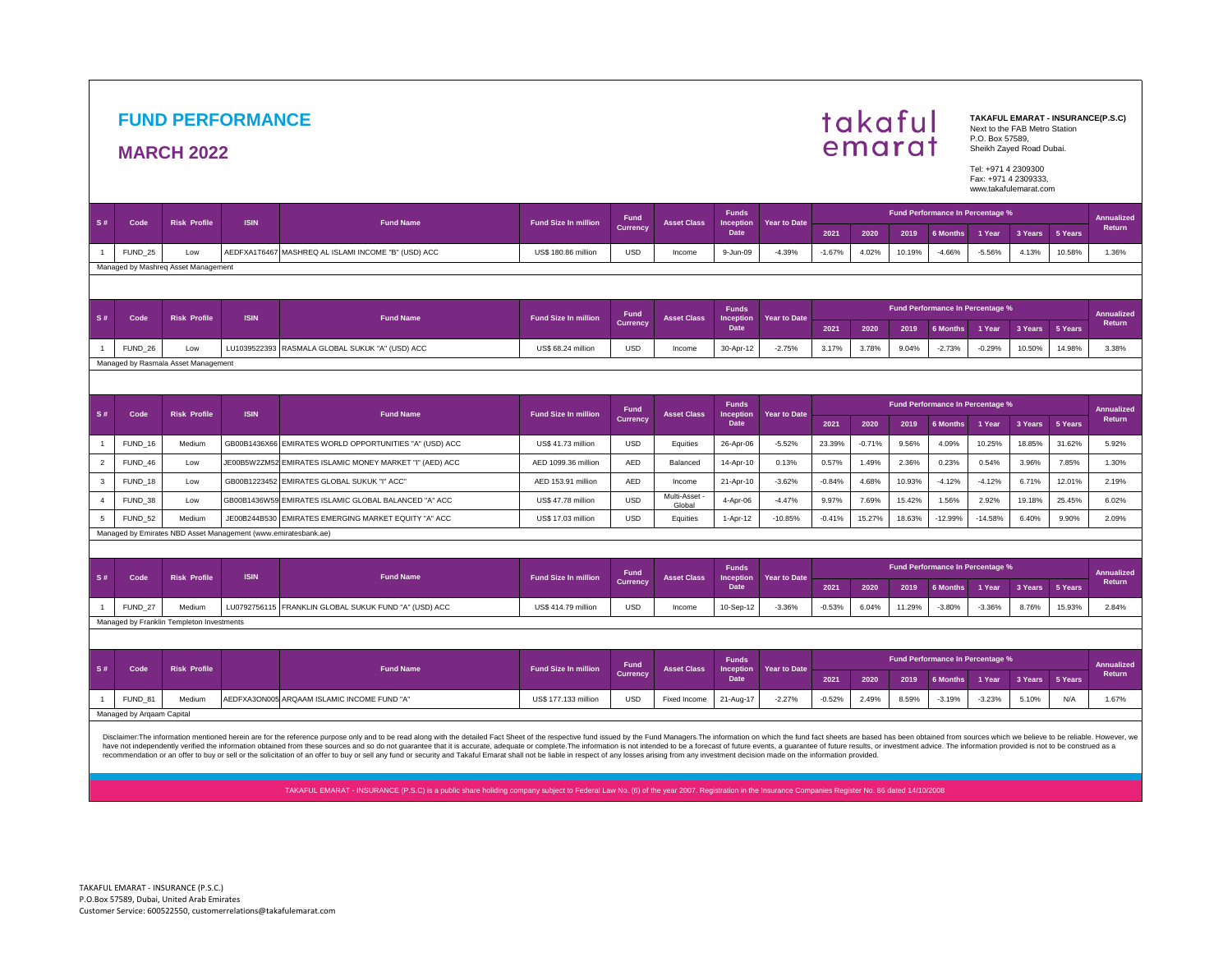## **FUND PERFORMANCE**

## **MARCH 2022**



**TAKAFUL EMARAT - INSURANCE(P.S.C)**  Next to the FAB Metro Station P.O. Box 57589, Sheikh Zayed Road Dubai.

Tel: +971 4 2309300 Fax: +971 4 2309333, www.takafulemarat.com

| S#             | Code                                                                                                                                                                                           | <b>Risk Profile</b>                       | <b>ISIN</b>                                                    |                                             | <b>Fund Size In million</b> | <b>Fund</b>     | <b>Asset Class</b>    | <b>Funds</b>                     |                     |          |          |        |                                  | Fund Performance In Percentage % |            |            | Annualized<br>Return |
|----------------|------------------------------------------------------------------------------------------------------------------------------------------------------------------------------------------------|-------------------------------------------|----------------------------------------------------------------|---------------------------------------------|-----------------------------|-----------------|-----------------------|----------------------------------|---------------------|----------|----------|--------|----------------------------------|----------------------------------|------------|------------|----------------------|
|                |                                                                                                                                                                                                |                                           |                                                                | <b>Fund Name</b>                            |                             | <b>Currency</b> |                       | <b>Inception</b><br>Date         | Year to Date        | 2021     | 2020     | 2019   | <b>6 Months</b>                  | 1 Year                           | 3 Years    | 5 Years    |                      |
|                | FUND <sub>25</sub>                                                                                                                                                                             | Low                                       | AEDFXA1T6467                                                   | MASHREQ AL ISLAMI INCOME "B" (USD) ACC      | <b>US\$ 180.86 million</b>  | <b>USD</b>      | Income                | 9-Jun-09                         | $-4.39%$            | $-1.67%$ | 4.02%    | 10.19% | $-4.66%$                         | $-5.56%$                         | 4.13%      | 10.58%     | 1.36%                |
|                |                                                                                                                                                                                                | Managed by Mashreg Asset Management       |                                                                |                                             |                             |                 |                       |                                  |                     |          |          |        |                                  |                                  |            |            |                      |
|                |                                                                                                                                                                                                |                                           |                                                                |                                             |                             |                 |                       |                                  |                     |          |          |        |                                  |                                  |            |            |                      |
|                | Fund Performance In Percentage %<br><b>Funds</b><br>Fund<br><b>Risk Profile</b><br><b>ISIN</b><br><b>Fund Name</b><br><b>Fund Size In million</b><br><b>Asset Class</b><br><b>Year to Date</b> |                                           |                                                                |                                             |                             |                 |                       |                                  |                     |          |          |        |                                  |                                  | Annualized |            |                      |
| S#             | Code                                                                                                                                                                                           |                                           |                                                                |                                             |                             | <b>Currency</b> |                       | Inception<br>Date                |                     | 2021     | 2020     | 2019   | <b>6 Months</b>                  | 1 Year                           | 3 Years    | 5 Years    | Return               |
|                | FUND 26                                                                                                                                                                                        | Low                                       | LU1039522393                                                   | RASMALA GLOBAL SUKUK "A" (USD) ACC          | US\$ 68.24 million          | <b>USD</b>      | Income                | 30-Apr-12                        | $-2.75%$            | 3.17%    | 3.78%    | 9.04%  | $-2.73%$                         | $-0.29%$                         | 10.50%     | 14.98%     | 3.38%                |
|                |                                                                                                                                                                                                | Managed by Rasmala Asset Management       |                                                                |                                             |                             |                 |                       |                                  |                     |          |          |        |                                  |                                  |            |            |                      |
|                |                                                                                                                                                                                                |                                           |                                                                |                                             |                             |                 |                       |                                  |                     |          |          |        |                                  |                                  |            |            |                      |
| S#             | Code                                                                                                                                                                                           | <b>Risk Profile</b>                       | <b>ISIN</b>                                                    | <b>Fund Name</b>                            | <b>Fund Size In million</b> | <b>Fund</b>     | <b>Asset Class</b>    | <b>Funds</b><br><b>Inception</b> | <b>Year to Date</b> |          |          |        |                                  | Fund Performance In Percentage % |            | Annualized |                      |
|                |                                                                                                                                                                                                |                                           |                                                                |                                             |                             | <b>Currency</b> |                       | Date,                            |                     | 2021     | 2020     | 2019   | <b>6 Months</b>                  | 1 Year                           | 3 Years    | 5 Years    | Return               |
|                | FUND <sub>16</sub>                                                                                                                                                                             | Medium                                    | GB00B1436X66                                                   | EMIRATES WORLD OPPORTUNITIES "A" (USD) ACC  | US\$ 41.73 million          | <b>USD</b>      | Equities              | 26-Apr-06                        | $-5.52%$            | 23.39%   | $-0.71%$ | 9.56%  | 4.09%                            | 10.25%                           | 18.85%     | 31.62%     | 5.92%                |
| $\overline{2}$ | FUND 46                                                                                                                                                                                        | Low                                       | JE00B5W2ZM52                                                   | EMIRATES ISLAMIC MONEY MARKET "I" (AED) ACC | AED 1099.36 million         | <b>AED</b>      | Balanced              | 14-Apr-10                        | 0.13%               | 0.57%    | 1.49%    | 2.36%  | 0.23%                            | 0.54%                            | 3.96%      | 7.85%      | 1.30%                |
| 3              | FUND_18                                                                                                                                                                                        | Low                                       | GB00B1223452                                                   | EMIRATES GLOBAL SUKUK "I" ACC"              | AED 153.91 million          | <b>AED</b>      | Income                | 21-Apr-10                        | $-3.62%$            | $-0.84%$ | 4.68%    | 10.93% | $-4.12%$                         | $-4.12%$                         | 6.71%      | 12.01%     | 2.19%                |
| $\Delta$       | FUND 38                                                                                                                                                                                        | Low                                       | GB00B1436W59                                                   | EMIRATES ISLAMIC GLOBAL BALANCED "A" ACC    | US\$ 47.78 million          | <b>USD</b>      | Multi-Asset<br>Global | 4-Apr-06                         | $-4.47%$            | 9.97%    | 7.69%    | 15.42% | 1.56%                            | 2.92%                            | 19.18%     | 25.45%     | 6.02%                |
| 5              | FUND 52                                                                                                                                                                                        | Medium                                    | JE00B244B530                                                   | EMIRATES EMERGING MARKET EQUITY "A" ACC     | US\$ 17.03 million          | <b>USD</b>      | Equities              | 1-Apr-12                         | $-10.85%$           | $-0.41%$ | 15.27%   | 18.63% | $-12.99%$                        | $-14.58%$                        | 6.40%      | 9.90%      | 2.09%                |
|                |                                                                                                                                                                                                |                                           | Managed by Emirates NBD Asset Management (www.emiratesbank.ae) |                                             |                             |                 |                       |                                  |                     |          |          |        |                                  |                                  |            |            |                      |
|                |                                                                                                                                                                                                |                                           |                                                                |                                             |                             |                 |                       |                                  |                     |          |          |        |                                  |                                  |            |            |                      |
| S#             | Code                                                                                                                                                                                           | <b>Risk Profile</b>                       | <b>ISIN</b>                                                    | <b>Fund Name</b>                            | <b>Fund Size In million</b> | Fund            | <b>Asset Class</b>    | <b>Funds</b><br>Inception        | <b>Year to Date</b> |          |          |        | Fund Performance In Percentage % |                                  |            |            | <b>Annualized</b>    |
|                |                                                                                                                                                                                                |                                           |                                                                |                                             |                             | <b>Currency</b> |                       | Date                             |                     | 2021     | 2020     | 2019   | <b>6 Months</b>                  | 1 Year                           | 3 Years    | 5 Years    | Return               |
|                | FUND <sub>27</sub>                                                                                                                                                                             | Medium                                    | LU0792756115                                                   | FRANKLIN GLOBAL SUKUK FUND "A" (USD) ACC    | <b>US\$ 414.79 million</b>  | <b>USD</b>      | Income                | 10-Sep-12                        | $-3.36%$            | $-0.53%$ | 6.04%    | 11.29% | $-3.80%$                         | $-3.36%$                         | 8.76%      | 15.93%     | 2.84%                |
|                |                                                                                                                                                                                                | Managed by Franklin Templeton Investments |                                                                |                                             |                             |                 |                       |                                  |                     |          |          |        |                                  |                                  |            |            |                      |
|                |                                                                                                                                                                                                |                                           |                                                                |                                             |                             |                 |                       |                                  |                     |          |          |        |                                  |                                  |            |            |                      |
| S#             | Code                                                                                                                                                                                           | <b>Risk Profile</b>                       |                                                                | <b>Fund Name</b>                            | <b>Fund Size In million</b> | Fund            | <b>Asset Class</b>    | <b>Funds</b><br><b>Inception</b> | <b>Year to Date</b> |          |          |        |                                  | Fund Performance In Percentage % |            |            | <b>Annualized</b>    |
|                |                                                                                                                                                                                                |                                           |                                                                |                                             |                             | <b>Currency</b> |                       | Date                             |                     | 2021     | 2020     | 2019   | <b>6 Months</b>                  | 1 Year                           | 3 Years    | 5 Years    | Return               |
|                | FUND 81                                                                                                                                                                                        | Medium                                    |                                                                | AEDFXA3ON005 ARQAAM ISLAMIC INCOME FUND "A" | US\$ 177.133 million        | <b>USD</b>      | Fixed Income          | 21-Aug-17                        | $-2.27%$            | $-0.52%$ | 2.49%    | 8.59%  | $-3.19%$                         | $-3.23%$                         | 5.10%      | N/A        | 1.67%                |
|                | Managed by Arqaam Capital                                                                                                                                                                      |                                           |                                                                |                                             |                             |                 |                       |                                  |                     |          |          |        |                                  |                                  |            |            |                      |

TAKAFUL EMARAT - INSURANCE (P.S.C) is a public share holiding company subject to Federal Law No. (6) of the year 2007. Registration in the Insurance Companies Register No. 86 dated 14/10/2008